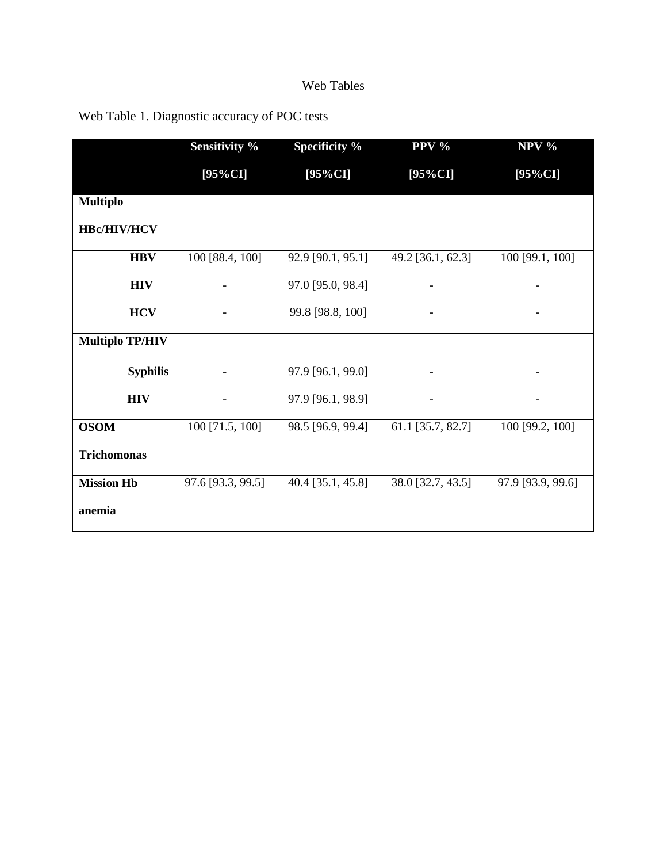## Web Tables

|                        | <b>Sensitivity %</b> | Specificity %     | PPV %             | $NPV$ %           |
|------------------------|----------------------|-------------------|-------------------|-------------------|
|                        | $[95\%CI]$           | $[95\%CI]$        | $[95\%CI]$        | $[95\%CI]$        |
| <b>Multiplo</b>        |                      |                   |                   |                   |
| <b>HBc/HIV/HCV</b>     |                      |                   |                   |                   |
| <b>HBV</b>             | 100 [88.4, 100]      | 92.9 [90.1, 95.1] | 49.2 [36.1, 62.3] | 100 [99.1, 100]   |
| <b>HIV</b>             |                      | 97.0 [95.0, 98.4] |                   |                   |
| <b>HCV</b>             |                      | 99.8 [98.8, 100]  |                   |                   |
| <b>Multiplo TP/HIV</b> |                      |                   |                   |                   |
| <b>Syphilis</b>        |                      | 97.9 [96.1, 99.0] |                   |                   |
| <b>HIV</b>             |                      | 97.9 [96.1, 98.9] |                   |                   |
| <b>OSOM</b>            | 100 [71.5, 100]      | 98.5 [96.9, 99.4] | 61.1 [35.7, 82.7] | 100 [99.2, 100]   |
| <b>Trichomonas</b>     |                      |                   |                   |                   |
| <b>Mission Hb</b>      | 97.6 [93.3, 99.5]    | 40.4 [35.1, 45.8] | 38.0 [32.7, 43.5] | 97.9 [93.9, 99.6] |
| anemia                 |                      |                   |                   |                   |

## Web Table 1. Diagnostic accuracy of POC tests